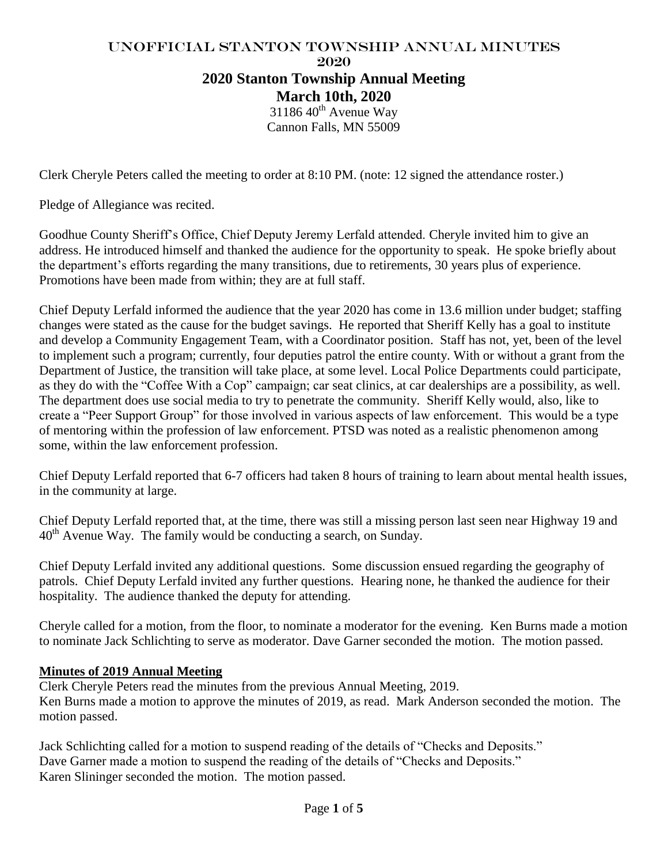# UNofficial Stanton Township Annual Minutes 2020 **2020 Stanton Township Annual Meeting March 10th, 2020**

 $3118640^{\text{th}}$  Avenue Way Cannon Falls, MN 55009

Clerk Cheryle Peters called the meeting to order at 8:10 PM. (note: 12 signed the attendance roster.)

Pledge of Allegiance was recited.

Goodhue County Sheriff's Office, Chief Deputy Jeremy Lerfald attended. Cheryle invited him to give an address. He introduced himself and thanked the audience for the opportunity to speak. He spoke briefly about the department's efforts regarding the many transitions, due to retirements, 30 years plus of experience. Promotions have been made from within; they are at full staff.

Chief Deputy Lerfald informed the audience that the year 2020 has come in 13.6 million under budget; staffing changes were stated as the cause for the budget savings. He reported that Sheriff Kelly has a goal to institute and develop a Community Engagement Team, with a Coordinator position. Staff has not, yet, been of the level to implement such a program; currently, four deputies patrol the entire county. With or without a grant from the Department of Justice, the transition will take place, at some level. Local Police Departments could participate, as they do with the "Coffee With a Cop" campaign; car seat clinics, at car dealerships are a possibility, as well. The department does use social media to try to penetrate the community. Sheriff Kelly would, also, like to create a "Peer Support Group" for those involved in various aspects of law enforcement. This would be a type of mentoring within the profession of law enforcement. PTSD was noted as a realistic phenomenon among some, within the law enforcement profession.

Chief Deputy Lerfald reported that 6-7 officers had taken 8 hours of training to learn about mental health issues, in the community at large.

Chief Deputy Lerfald reported that, at the time, there was still a missing person last seen near Highway 19 and 40th Avenue Way. The family would be conducting a search, on Sunday.

Chief Deputy Lerfald invited any additional questions. Some discussion ensued regarding the geography of patrols. Chief Deputy Lerfald invited any further questions. Hearing none, he thanked the audience for their hospitality. The audience thanked the deputy for attending.

Cheryle called for a motion, from the floor, to nominate a moderator for the evening. Ken Burns made a motion to nominate Jack Schlichting to serve as moderator. Dave Garner seconded the motion. The motion passed.

#### **Minutes of 2019 Annual Meeting**

Clerk Cheryle Peters read the minutes from the previous Annual Meeting, 2019. Ken Burns made a motion to approve the minutes of 2019, as read. Mark Anderson seconded the motion. The motion passed.

Jack Schlichting called for a motion to suspend reading of the details of "Checks and Deposits." Dave Garner made a motion to suspend the reading of the details of "Checks and Deposits." Karen Slininger seconded the motion. The motion passed.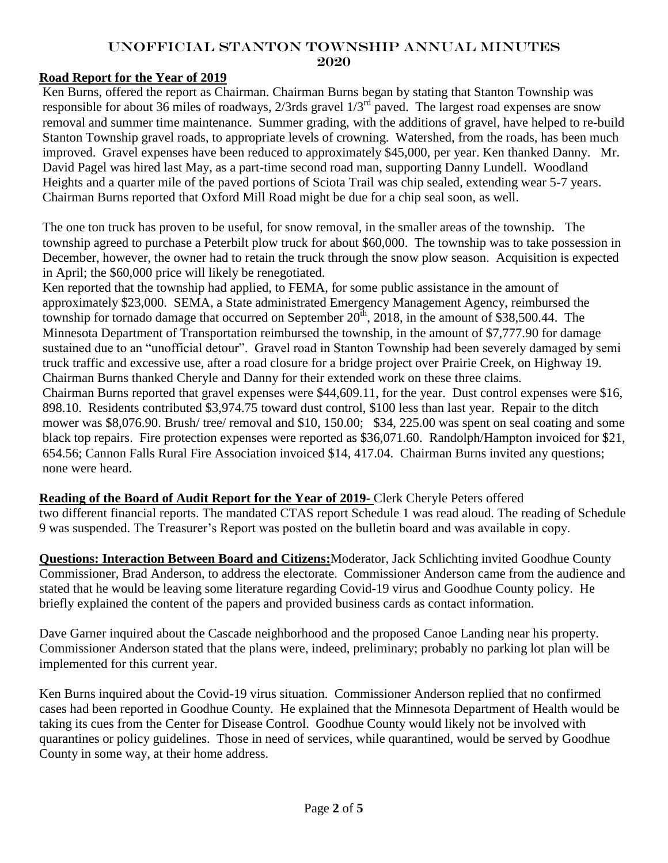### UNofficial Stanton Township Annual Minutes 2020

### **Road Report for the Year of 2019**

Ken Burns, offered the report as Chairman. Chairman Burns began by stating that Stanton Township was responsible for about 36 miles of roadways, 2/3rds gravel 1/3rd paved. The largest road expenses are snow removal and summer time maintenance. Summer grading, with the additions of gravel, have helped to re-build Stanton Township gravel roads, to appropriate levels of crowning. Watershed, from the roads, has been much improved. Gravel expenses have been reduced to approximately \$45,000, per year. Ken thanked Danny. Mr. David Pagel was hired last May, as a part-time second road man, supporting Danny Lundell. Woodland Heights and a quarter mile of the paved portions of Sciota Trail was chip sealed, extending wear 5-7 years. Chairman Burns reported that Oxford Mill Road might be due for a chip seal soon, as well.

The one ton truck has proven to be useful, for snow removal, in the smaller areas of the township. The township agreed to purchase a Peterbilt plow truck for about \$60,000. The township was to take possession in December, however, the owner had to retain the truck through the snow plow season. Acquisition is expected in April; the \$60,000 price will likely be renegotiated.

Ken reported that the township had applied, to FEMA, for some public assistance in the amount of approximately \$23,000. SEMA, a State administrated Emergency Management Agency, reimbursed the township for tornado damage that occurred on September  $20^{th}$ ,  $2018$ , in the amount of \$38,500.44. The Minnesota Department of Transportation reimbursed the township, in the amount of \$7,777.90 for damage sustained due to an "unofficial detour". Gravel road in Stanton Township had been severely damaged by semi truck traffic and excessive use, after a road closure for a bridge project over Prairie Creek, on Highway 19. Chairman Burns thanked Cheryle and Danny for their extended work on these three claims. Chairman Burns reported that gravel expenses were \$44,609.11, for the year. Dust control expenses were \$16, 898.10. Residents contributed \$3,974.75 toward dust control, \$100 less than last year. Repair to the ditch mower was \$8,076.90. Brush/ tree/ removal and \$10, 150.00; \$34, 225.00 was spent on seal coating and some black top repairs. Fire protection expenses were reported as \$36,071.60. Randolph/Hampton invoiced for \$21, 654.56; Cannon Falls Rural Fire Association invoiced \$14, 417.04. Chairman Burns invited any questions; none were heard.

**Reading of the Board of Audit Report for the Year of 2019-** Clerk Cheryle Peters offered

two different financial reports. The mandated CTAS report Schedule 1 was read aloud. The reading of Schedule 9 was suspended. The Treasurer's Report was posted on the bulletin board and was available in copy.

**Questions: Interaction Between Board and Citizens:**Moderator, Jack Schlichting invited Goodhue County Commissioner, Brad Anderson, to address the electorate. Commissioner Anderson came from the audience and stated that he would be leaving some literature regarding Covid-19 virus and Goodhue County policy. He briefly explained the content of the papers and provided business cards as contact information.

Dave Garner inquired about the Cascade neighborhood and the proposed Canoe Landing near his property. Commissioner Anderson stated that the plans were, indeed, preliminary; probably no parking lot plan will be implemented for this current year.

Ken Burns inquired about the Covid-19 virus situation. Commissioner Anderson replied that no confirmed cases had been reported in Goodhue County. He explained that the Minnesota Department of Health would be taking its cues from the Center for Disease Control. Goodhue County would likely not be involved with quarantines or policy guidelines. Those in need of services, while quarantined, would be served by Goodhue County in some way, at their home address.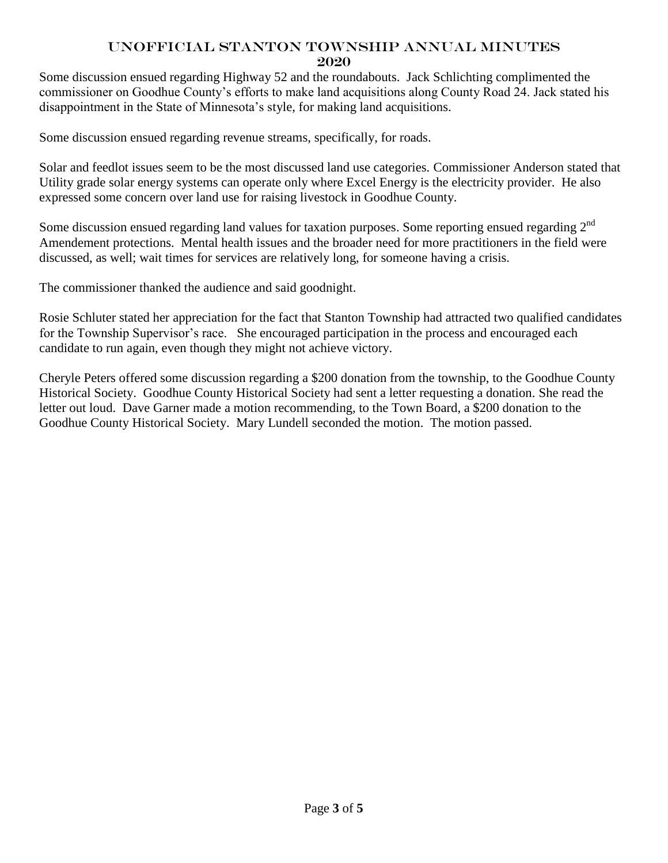### UNofficial Stanton Township Annual Minutes 2020

Some discussion ensued regarding Highway 52 and the roundabouts. Jack Schlichting complimented the commissioner on Goodhue County's efforts to make land acquisitions along County Road 24. Jack stated his disappointment in the State of Minnesota's style, for making land acquisitions.

Some discussion ensued regarding revenue streams, specifically, for roads.

Solar and feedlot issues seem to be the most discussed land use categories. Commissioner Anderson stated that Utility grade solar energy systems can operate only where Excel Energy is the electricity provider. He also expressed some concern over land use for raising livestock in Goodhue County.

Some discussion ensued regarding land values for taxation purposes. Some reporting ensued regarding  $2<sup>nd</sup>$ Amendement protections. Mental health issues and the broader need for more practitioners in the field were discussed, as well; wait times for services are relatively long, for someone having a crisis.

The commissioner thanked the audience and said goodnight.

Rosie Schluter stated her appreciation for the fact that Stanton Township had attracted two qualified candidates for the Township Supervisor's race. She encouraged participation in the process and encouraged each candidate to run again, even though they might not achieve victory.

Cheryle Peters offered some discussion regarding a \$200 donation from the township, to the Goodhue County Historical Society. Goodhue County Historical Society had sent a letter requesting a donation. She read the letter out loud. Dave Garner made a motion recommending, to the Town Board, a \$200 donation to the Goodhue County Historical Society. Mary Lundell seconded the motion. The motion passed.